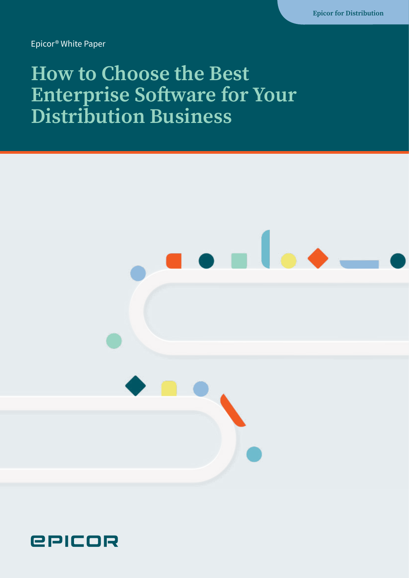Epicor® White Paper

### **How to Choose the Best Enterprise Software for Your Distribution Business**



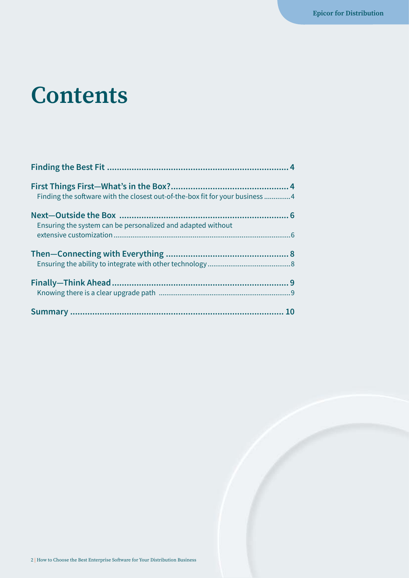### **Contents**

| Finding the software with the closest out-of-the-box fit for your business 4 |  |
|------------------------------------------------------------------------------|--|
| Ensuring the system can be personalized and adapted without                  |  |
|                                                                              |  |
|                                                                              |  |
|                                                                              |  |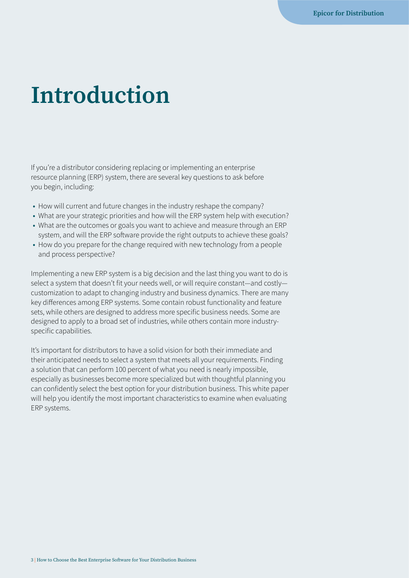### **Introduction**

If you're a distributor considering replacing or implementing an enterprise resource planning (ERP) system, there are several key questions to ask before you begin, including:

- **•** How will current and future changes in the industry reshape the company?
- **•** What are your strategic priorities and how will the ERP system help with execution?
- **•** What are the outcomes or goals you want to achieve and measure through an ERP system, and will the ERP software provide the right outputs to achieve these goals?
- **•** How do you prepare for the change required with new technology from a people and process perspective?

Implementing a new ERP system is a big decision and the last thing you want to do is select a system that doesn't fit your needs well, or will require constant—and costly customization to adapt to changing industry and business dynamics. There are many key differences among ERP systems. Some contain robust functionality and feature sets, while others are designed to address more specific business needs. Some are designed to apply to a broad set of industries, while others contain more industryspecific capabilities.

It's important for distributors to have a solid vision for both their immediate and their anticipated needs to select a system that meets all your requirements. Finding a solution that can perform 100 percent of what you need is nearly impossible, especially as businesses become more specialized but with thoughtful planning you can confidently select the best option for your distribution business. This white paper will help you identify the most important characteristics to examine when evaluating ERP systems.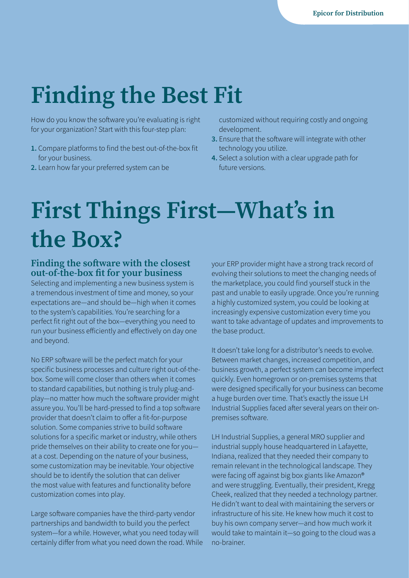## <span id="page-3-0"></span>**Finding the Best Fit**

How do you know the software you're evaluating is right for your organization? Start with this four-step plan:

- **1.** Compare platforms to find the best out-of-the-box fit for your business.
- **2.** Learn how far your preferred system can be

customized without requiring costly and ongoing development.

- **3.** Ensure that the software will integrate with other technology you utilize.
- **4.** Select a solution with a clear upgrade path for future versions.

## **First Things First—What's in the Box?**

#### **Finding the software with the closest out-of-the-box fit for your business**

Selecting and implementing a new business system is a tremendous investment of time and money, so your expectations are—and should be—high when it comes to the system's capabilities. You're searching for a perfect fit right out of the box—everything you need to run your business efficiently and effectively on day one and beyond.

No ERP software will be the perfect match for your specific business processes and culture right out-of-thebox. Some will come closer than others when it comes to standard capabilities, but nothing is truly plug-andplay—no matter how much the software provider might assure you. You'll be hard-pressed to find a top software provider that doesn't claim to offer a fit-for-purpose solution. Some companies strive to build software solutions for a specific market or industry, while others pride themselves on their ability to create one for you at a cost. Depending on the nature of your business, some customization may be inevitable. Your objective should be to identify the solution that can deliver the most value with features and functionality before customization comes into play.

Large software companies have the third-party vendor partnerships and bandwidth to build you the perfect system—for a while. However, what you need today will certainly differ from what you need down the road. While your ERP provider might have a strong track record of evolving their solutions to meet the changing needs of the marketplace, you could find yourself stuck in the past and unable to easily upgrade. Once you're running a highly customized system, you could be looking at increasingly expensive customization every time you want to take advantage of updates and improvements to the base product.

It doesn't take long for a distributor's needs to evolve. Between market changes, increased competition, and business growth, a perfect system can become imperfect quickly. Even homegrown or on-premises systems that were designed specifically for your business can become a huge burden over time. That's exactly the issue LH Industrial Supplies faced after several years on their onpremises software.

LH Industrial Supplies, a general MRO supplier and industrial supply house headquartered in Lafayette, Indiana, realized that they needed their company to remain relevant in the technological landscape. They were facing off against big box giants like Amazon® and were struggling. Eventually, their president, Kregg Cheek, realized that they needed a technology partner. He didn't want to deal with maintaining the servers or infrastructure of his site. He knew how much it cost to buy his own company server—and how much work it would take to maintain it—so going to the cloud was a no-brainer.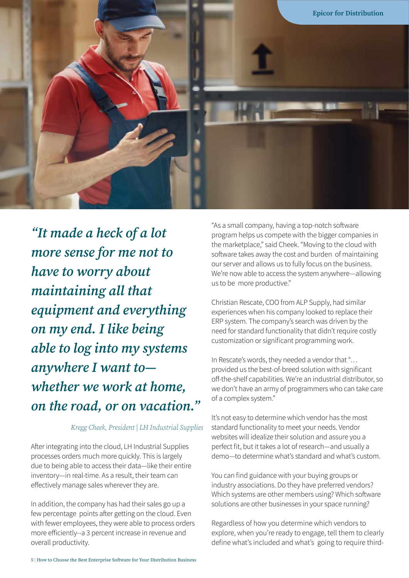

*"It made a heck of a lot more sense for me not to have to worry about maintaining all that equipment and everything on my end. I like being able to log into my systems anywhere I want to whether we work at home, on the road, or on vacation."*

#### *Kregg Cheek, President | LH Industrial Supplies*

After integrating into the cloud, LH Industrial Supplies processes orders much more quickly. This is largely due to being able to access their data—like their entire inventory—in real-time. As a result, their team can effectively manage sales wherever they are.

In addition, the company has had their sales go up a few percentage points after getting on the cloud. Even with fewer employees, they were able to process orders more efficiently--a 3 percent increase in revenue and overall productivity.

"As a small company, having a top-notch software program helps us compete with the bigger companies in the marketplace," said Cheek. "Moving to the cloud with software takes away the cost and burden of maintaining our server and allows us to fully focus on the business. We're now able to access the system anywhere—allowing us to be more productive."

Christian Rescate, COO from ALP Supply, had similar experiences when his company looked to replace their ERP system. The company's search was driven by the need for standard functionality that didn't require costly customization or significant programming work.

In Rescate's words, they needed a vendor that "… provided us the best-of-breed solution with significant off-the-shelf capabilities. We're an industrial distributor, so we don't have an army of programmers who can take care of a complex system."

It's not easy to determine which vendor has the most standard functionality to meet your needs. Vendor websites will idealize their solution and assure you a perfect fit, but it takes a lot of research—and usually a demo—to determine what's standard and what's custom.

You can find guidance with your buying groups or industry associations. Do they have preferred vendors? Which systems are other members using? Which software solutions are other businesses in your space running?

Regardless of how you determine which vendors to explore, when you're ready to engage, tell them to clearly define what's included and what's going to require third-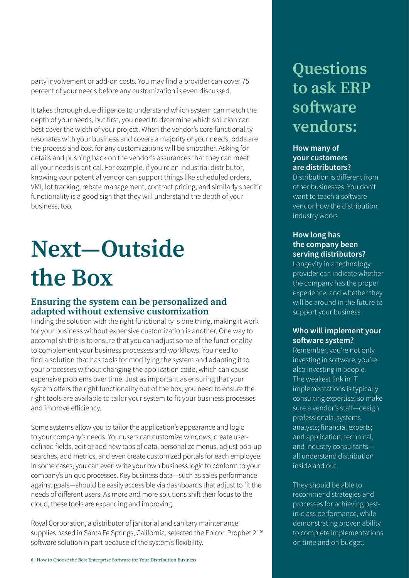<span id="page-5-0"></span>party involvement or add-on costs. You may find a provider can cover 75 percent of your needs before any customization is even discussed.

It takes thorough due diligence to understand which system can match the depth of your needs, but first, you need to determine which solution can best cover the width of your project. When the vendor's core functionality resonates with your business and covers a majority of your needs, odds are the process and cost for any customizations will be smoother. Asking for details and pushing back on the vendor's assurances that they can meet all your needs is critical. For example, if you're an industrial distributor, knowing your potential vendor can support things like scheduled orders, VMI, lot tracking, rebate management, contract pricing, and similarly specific functionality is a good sign that they will understand the depth of your business, too.

# **Next—Outside the Box**

#### **Ensuring the system can be personalized and adapted without extensive customization**

Finding the solution with the right functionality is one thing, making it work for your business without expensive customization is another. One way to accomplish this is to ensure that you can adjust some of the functionality to complement your business processes and workflows. You need to find a solution that has tools for modifying the system and adapting it to your processes without changing the application code, which can cause expensive problems over time. Just as important as ensuring that your system offers the right functionality out of the box, you need to ensure the right tools are available to tailor your system to fit your business processes and improve efficiency.

Some systems allow you to tailor the application's appearance and logic to your company's needs. Your users can customize windows, create userdefined fields, edit or add new tabs of data, personalize menus, adjust pop-up searches, add metrics, and even create customized portals for each employee. In some cases, you can even write your own business logic to conform to your company's unique processes. Key business data—such as sales performance against goals—should be easily accessible via dashboards that adjust to fit the needs of different users. As more and more solutions shift their focus to the cloud, these tools are expanding and improving.

Royal Corporation, a distributor of janitorial and sanitary maintenance supplies based in Santa Fe Springs, California, selected the Epicor Prophet 21® software solution in part because of the system's flexibility.

### **Questions to ask ERP software vendors:**

#### **How many of your customers are distributors?**

Distribution is different from other businesses. You don't want to teach a software vendor how the distribution industry works.

#### **How long has the company been serving distributors?**

Longevity in a technology provider can indicate whether the company has the proper experience, and whether they will be around in the future to support your business.

#### **Who will implement your software system?**

Remember, you're not only investing in software, you're also investing in people. The weakest link in IT implementations is typically consulting expertise, so make sure a vendor's staff—design professionals; systems analysts; financial experts; and application, technical, and industry consultants all understand distribution inside and out.

They should be able to recommend strategies and processes for achieving bestin-class performance, while demonstrating proven ability to complete implementations on time and on budget.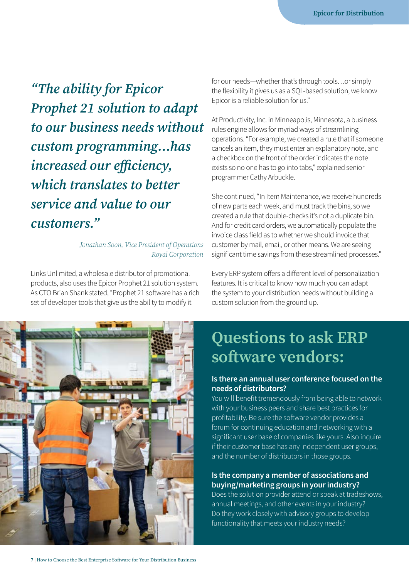*"The ability for Epicor Prophet 21 solution to adapt to our business needs without custom programming…has increased our efficiency, which translates to better service and value to our customers."*

#### *Jonathan Soon, Vice President of Operations Royal Corporation*

Links Unlimited, a wholesale distributor of promotional products, also uses the Epicor Prophet 21 solution system. As CTO Brian Shank stated, "Prophet 21 software has a rich set of developer tools that give us the ability to modify it

for our needs—whether that's through tools…or simply the flexibility it gives us as a SQL-based solution, we know Epicor is a reliable solution for us."

At Productivity, Inc. in Minneapolis, Minnesota, a business rules engine allows for myriad ways of streamlining operations. "For example, we created a rule that if someone cancels an item, they must enter an explanatory note, and a checkbox on the front of the order indicates the note exists so no one has to go into tabs," explained senior programmer Cathy Arbuckle.

She continued, "In Item Maintenance, we receive hundreds of new parts each week, and must track the bins, so we created a rule that double-checks it's not a duplicate bin. And for credit card orders, we automatically populate the invoice class field as to whether we should invoice that customer by mail, email, or other means. We are seeing significant time savings from these streamlined processes."

Every ERP system offers a different level of personalization features. It is critical to know how much you can adapt the system to your distribution needs without building a custom solution from the ground up.



### **Questions to ask ERP software vendors:**

#### **Is there an annual user conference focused on the needs of distributors?**

You will benefit tremendously from being able to network with your business peers and share best practices for profitability. Be sure the software vendor provides a forum for continuing education and networking with a significant user base of companies like yours. Also inquire if their customer base has any independent user groups, and the number of distributors in those groups.

#### **Is the company a member of associations and buying/marketing groups in your industry?**

Does the solution provider attend or speak at tradeshows, annual meetings, and other events in your industry? Do they work closely with advisory groups to develop functionality that meets your industry needs?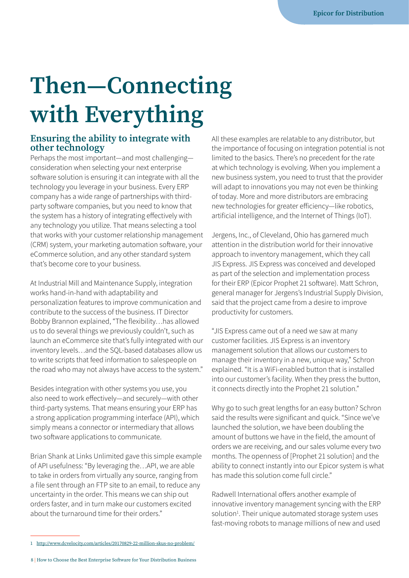## <span id="page-7-0"></span>**Then—Connecting with Everything**

#### **Ensuring the ability to integrate with other technology**

Perhaps the most important—and most challenging consideration when selecting your next enterprise software solution is ensuring it can integrate with all the technology you leverage in your business. Every ERP company has a wide range of partnerships with thirdparty software companies, but you need to know that the system has a history of integrating effectively with any technology you utilize. That means selecting a tool that works with your customer relationship management (CRM) system, your marketing automation software, your eCommerce solution, and any other standard system that's become core to your business.

At Industrial Mill and Maintenance Supply, integration works hand-in-hand with adaptability and personalization features to improve communication and contribute to the success of the business. IT Director Bobby Brannon explained, "The flexibility…has allowed us to do several things we previously couldn't, such as launch an eCommerce site that's fully integrated with our inventory levels…and the SQL-based databases allow us to write scripts that feed information to salespeople on the road who may not always have access to the system."

Besides integration with other systems you use, you also need to work effectively—and securely—with other third-party systems. That means ensuring your ERP has a strong application programming interface (API), which simply means a connector or intermediary that allows two software applications to communicate.

Brian Shank at Links Unlimited gave this simple example of API usefulness: "By leveraging the…API, we are able to take in orders from virtually any source, ranging from a file sent through an FTP site to an email, to reduce any uncertainty in the order. This means we can ship out orders faster, and in turn make our customers excited about the turnaround time for their orders."

All these examples are relatable to any distributor, but the importance of focusing on integration potential is not limited to the basics. There's no precedent for the rate at which technology is evolving. When you implement a new business system, you need to trust that the provider will adapt to innovations you may not even be thinking of today. More and more distributors are embracing new technologies for greater efficiency—like robotics, artificial intelligence, and the Internet of Things (IoT).

Jergens, Inc., of Cleveland, Ohio has garnered much attention in the distribution world for their innovative approach to inventory management, which they call JIS Express. JIS Express was conceived and developed as part of the selection and implementation process for their ERP (Epicor Prophet 21 software). Matt Schron, general manager for Jergens's Industrial Supply Division, said that the project came from a desire to improve productivity for customers.

"JIS Express came out of a need we saw at many customer facilities. JIS Express is an inventory management solution that allows our customers to manage their inventory in a new, unique way," Schron explained. "It is a WiFi-enabled button that is installed into our customer's facility. When they press the button, it connects directly into the Prophet 21 solution."

Why go to such great lengths for an easy button? Schron said the results were significant and quick. "Since we've launched the solution, we have been doubling the amount of buttons we have in the field, the amount of orders we are receiving, and our sales volume every two months. The openness of [Prophet 21 solution] and the ability to connect instantly into our Epicor system is what has made this solution come full circle."

Radwell International offers another example of innovative inventory management syncing with the ERP solution<sup>1</sup>. Their unique automated storage system uses fast-moving robots to manage millions of new and used

<sup>1</sup> <http://www.dcvelocity.com/articles/20170829-22-million-skus-no-problem/>

<sup>8 |</sup> How to Choose the Best Enterprise Software for Your Distribution Business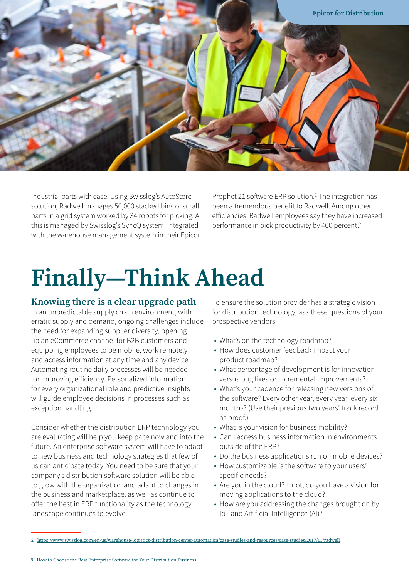<span id="page-8-0"></span>

industrial parts with ease. Using Swisslog's AutoStore solution, Radwell manages 50,000 stacked bins of small parts in a grid system worked by 34 robots for picking. All this is managed by Swisslog's SyncQ system, integrated with the warehouse management system in their Epicor

Prophet 21 software ERP solution.<sup>2</sup> The integration has been a tremendous benefit to Radwell. Among other efficiencies, Radwell employees say they have increased performance in pick productivity by 400 percent.<sup>2</sup>

## **Finally—Think Ahead**

#### **Knowing there is a clear upgrade path**

In an unpredictable supply chain environment, with erratic supply and demand, ongoing challenges include the need for expanding supplier diversity, opening up an eCommerce channel for B2B customers and equipping employees to be mobile, work remotely and access information at any time and any device. Automating routine daily processes will be needed for improving efficiency. Personalized information for every organizational role and predictive insights will guide employee decisions in processes such as exception handling.

Consider whether the distribution ERP technology you are evaluating will help you keep pace now and into the future. An enterprise software system will have to adapt to new business and technology strategies that few of us can anticipate today. You need to be sure that your company's distribution software solution will be able to grow with the organization and adapt to changes in the business and marketplace, as well as continue to offer the best in ERP functionality as the technology landscape continues to evolve.

To ensure the solution provider has a strategic vision for distribution technology, ask these questions of your prospective vendors:

- **•** What's on the technology roadmap?
- **•** How does customer feedback impact your product roadmap?
- **•** What percentage of development is for innovation versus bug fixes or incremental improvements?
- **•** What's your cadence for releasing new versions of the software? Every other year, every year, every six months? (Use their previous two years' track record as proof.)
- **•** What is your vision for business mobility?
- **•** Can I access business information in environments outside of the ERP?
- **•** Do the business applications run on mobile devices?
- **•** How customizable is the software to your users' specific needs?
- **•** Are you in the cloud? If not, do you have a vision for moving applications to the cloud?
- **•** How are you addressing the changes brought on by IoT and Artificial Intelligence (AI)?

<sup>2</sup> <https://www.swisslog.com/en-us/warehouse-logistics-distribution-center-automation/case-studies-and-resources/case-studies/2017/11/radwell>